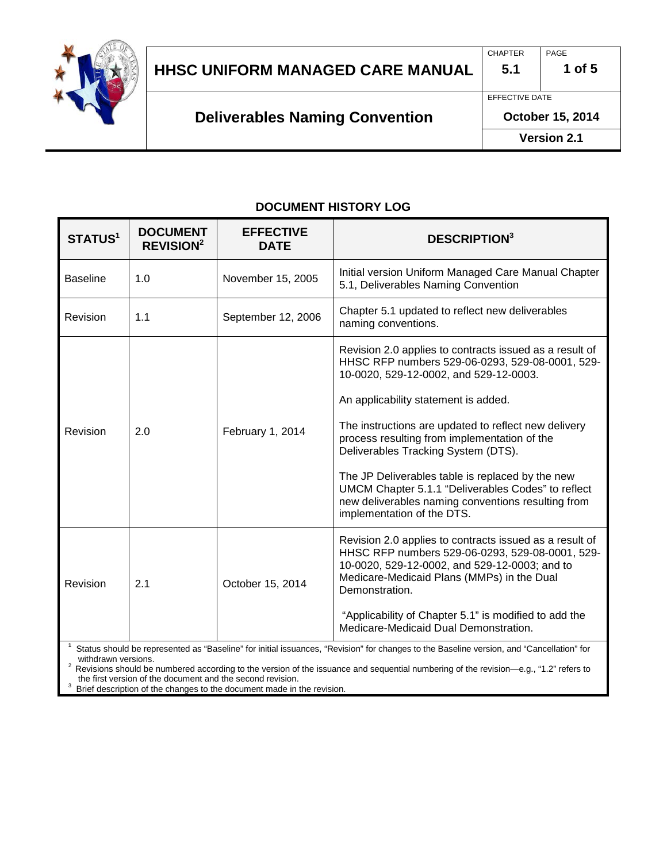

## **HHSC UNIFORM MANAGED CARE MANUAL 5.1 1 of 5**

**Deliverables Naming Convention**

EFFECTIVE DATE

**October 15, 2014**

**Version 2.1**

#### **DOCUMENT HISTORY LOG**

| <b>STATUS1</b>                                                                                                                                                 | <b>DOCUMENT</b><br><b>REVISION<sup>2</sup></b> | <b>EFFECTIVE</b><br><b>DATE</b> | <b>DESCRIPTION</b> <sup>3</sup>                                                                                                                                                                                                                                                                                                                                                                                                                                                                                                           |  |  |
|----------------------------------------------------------------------------------------------------------------------------------------------------------------|------------------------------------------------|---------------------------------|-------------------------------------------------------------------------------------------------------------------------------------------------------------------------------------------------------------------------------------------------------------------------------------------------------------------------------------------------------------------------------------------------------------------------------------------------------------------------------------------------------------------------------------------|--|--|
| <b>Baseline</b>                                                                                                                                                | 1.0                                            | November 15, 2005               | Initial version Uniform Managed Care Manual Chapter<br>5.1, Deliverables Naming Convention                                                                                                                                                                                                                                                                                                                                                                                                                                                |  |  |
| Revision                                                                                                                                                       | 1.1                                            | September 12, 2006              | Chapter 5.1 updated to reflect new deliverables<br>naming conventions.                                                                                                                                                                                                                                                                                                                                                                                                                                                                    |  |  |
| Revision                                                                                                                                                       | 2.0                                            | February 1, 2014                | Revision 2.0 applies to contracts issued as a result of<br>HHSC RFP numbers 529-06-0293, 529-08-0001, 529-<br>10-0020, 529-12-0002, and 529-12-0003.<br>An applicability statement is added.<br>The instructions are updated to reflect new delivery<br>process resulting from implementation of the<br>Deliverables Tracking System (DTS).<br>The JP Deliverables table is replaced by the new<br>UMCM Chapter 5.1.1 "Deliverables Codes" to reflect<br>new deliverables naming conventions resulting from<br>implementation of the DTS. |  |  |
| Revision                                                                                                                                                       | 2.1                                            | October 15, 2014                | Revision 2.0 applies to contracts issued as a result of<br>HHSC RFP numbers 529-06-0293, 529-08-0001, 529-<br>10-0020, 529-12-0002, and 529-12-0003; and to<br>Medicare-Medicaid Plans (MMPs) in the Dual<br>Demonstration.<br>"Applicability of Chapter 5.1" is modified to add the<br>Medicare-Medicaid Dual Demonstration.                                                                                                                                                                                                             |  |  |
| Status should be represented as "Baseline" for initial issuances, "Revision" for changes to the Baseline version, and "Cancellation" for<br>withdrawn versions |                                                |                                 |                                                                                                                                                                                                                                                                                                                                                                                                                                                                                                                                           |  |  |

Revisions should be numbered according to the version of the issuance and sequential numbering of the revision—e.g., "1.2" refers to the first version of the document and the second revision.

Brief description of the changes to the document made in the revision.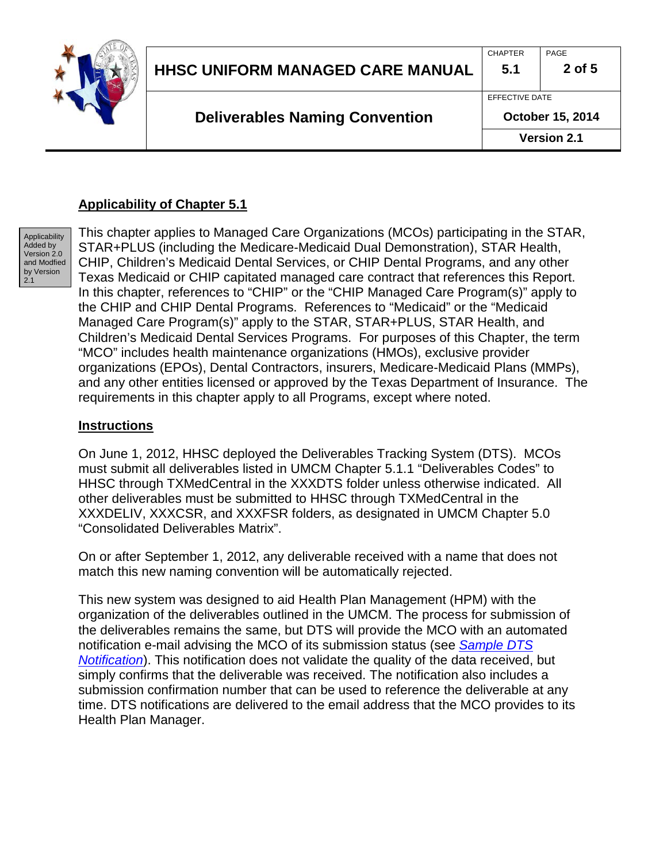

### **Applicability of Chapter 5.1**

**Applicability** Added by Version 2.0 and Modfied by Version 2.1

This chapter applies to Managed Care Organizations (MCOs) participating in the STAR, STAR+PLUS (including the Medicare-Medicaid Dual Demonstration), STAR Health, CHIP, Children's Medicaid Dental Services, or CHIP Dental Programs, and any other Texas Medicaid or CHIP capitated managed care contract that references this Report. In this chapter, references to "CHIP" or the "CHIP Managed Care Program(s)" apply to the CHIP and CHIP Dental Programs. References to "Medicaid" or the "Medicaid Managed Care Program(s)" apply to the STAR, STAR+PLUS, STAR Health, and Children's Medicaid Dental Services Programs. For purposes of this Chapter, the term "MCO" includes health maintenance organizations (HMOs), exclusive provider organizations (EPOs), Dental Contractors, insurers, Medicare-Medicaid Plans (MMPs), and any other entities licensed or approved by the Texas Department of Insurance. The requirements in this chapter apply to all Programs, except where noted.

#### **Instructions**

On June 1, 2012, HHSC deployed the Deliverables Tracking System (DTS). MCOs must submit all deliverables listed in UMCM Chapter 5.1.1 "Deliverables Codes" to HHSC through TXMedCentral in the XXXDTS folder unless otherwise indicated. All other deliverables must be submitted to HHSC through TXMedCentral in the XXXDELIV, XXXCSR, and XXXFSR folders, as designated in UMCM Chapter 5.0 "Consolidated Deliverables Matrix".

On or after September 1, 2012, any deliverable received with a name that does not match this new naming convention will be automatically rejected.

This new system was designed to aid Health Plan Management (HPM) with the organization of the deliverables outlined in the UMCM. The process for submission of the deliverables remains the same, but DTS will provide the MCO with an automated notification e-mail advising the MCO of its submission status (see *[Sample DTS](#page-3-0)  [Notification](#page-3-0)*). This notification does not validate the quality of the data received, but simply confirms that the deliverable was received. The notification also includes a submission confirmation number that can be used to reference the deliverable at any time. DTS notifications are delivered to the email address that the MCO provides to its Health Plan Manager.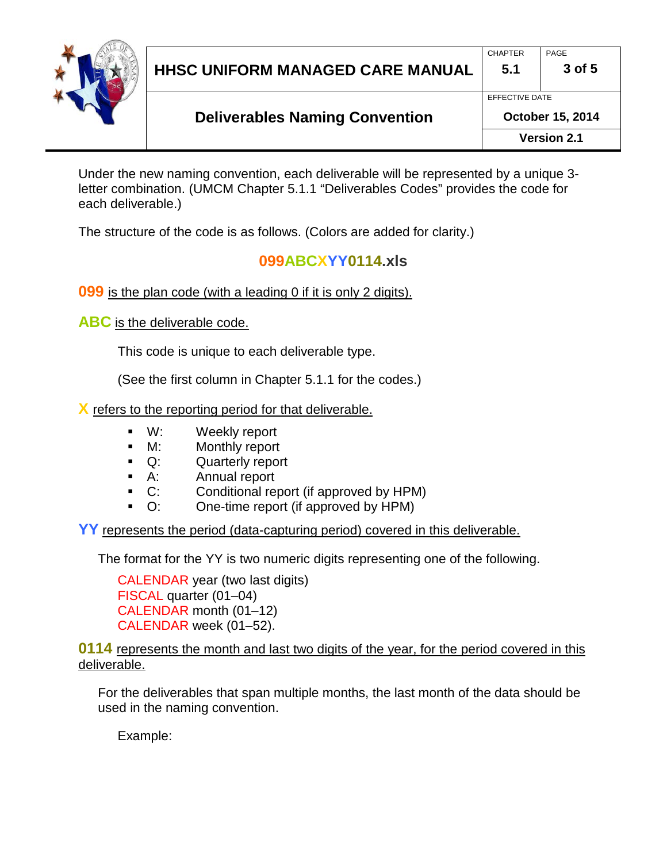

## **HHSC UNIFORM MANAGED CARE MANUAL 5.1 3 of 5**

EFFECTIVE DATE

**Version 2.1**

Under the new naming convention, each deliverable will be represented by a unique 3 letter combination. (UMCM Chapter 5.1.1 "Deliverables Codes" provides the code for each deliverable.)

The structure of the code is as follows. (Colors are added for clarity.)

## **099ABCXYY0114.xls**

**099** is the plan code (with a leading 0 if it is only 2 digits).

**ABC** is the deliverable code.

This code is unique to each deliverable type.

(See the first column in Chapter 5.1.1 for the codes.)

**X** refers to the reporting period for that deliverable.

- W: Weekly report
- M: Monthly report
- Q: Quarterly report
- A: Annual report
- C: Conditional report (if approved by HPM)
- O: One-time report (if approved by HPM)

**YY** represents the period (data-capturing period) covered in this deliverable.

The format for the YY is two numeric digits representing one of the following.

CALENDAR year (two last digits) FISCAL quarter (01–04) CALENDAR month (01–12) CALENDAR week (01–52).

**0114** represents the month and last two digits of the year, for the period covered in this deliverable.

For the deliverables that span multiple months, the last month of the data should be used in the naming convention.

Example: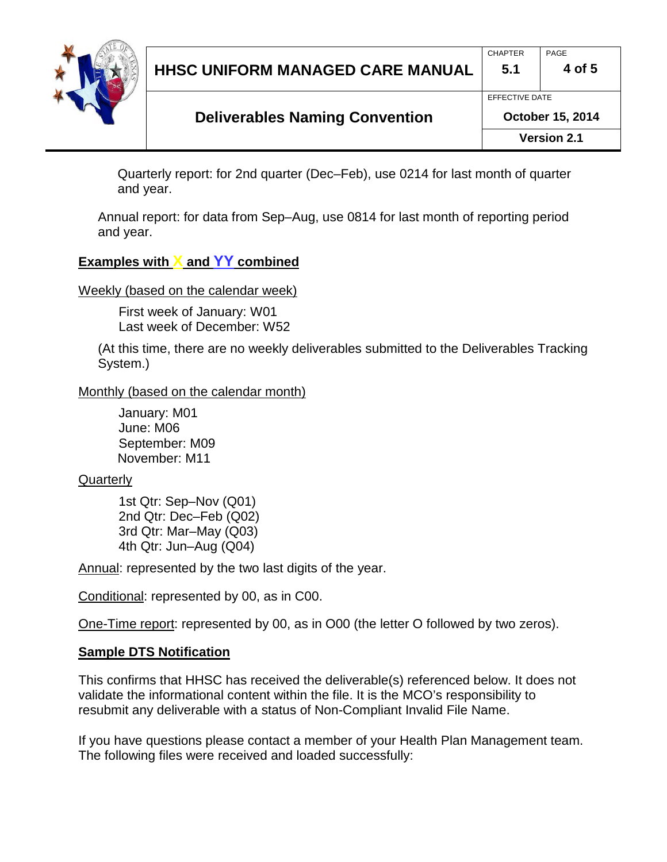

## **HHSC UNIFORM MANAGED CARE MANUAL 5.1 4 of 5** CHAPTER PAGE EFFECTIVE DATE

## **Deliverables Naming Convention**

**Version 2.1**

Quarterly report: for 2nd quarter (Dec–Feb), use 0214 for last month of quarter and year.

Annual report: for data from Sep–Aug, use 0814 for last month of reporting period and year.

## **Examples with X and YY combined**

Weekly (based on the calendar week)

First week of January: W01 Last week of December: W52

(At this time, there are no weekly deliverables submitted to the Deliverables Tracking System.)

#### Monthly (based on the calendar month)

January: M01 June: M06 September: M09 November: M11

### **Quarterly**

1st Qtr: Sep–Nov (Q01) 2nd Qtr: Dec–Feb (Q02) 3rd Qtr: Mar–May (Q03) 4th Qtr: Jun–Aug (Q04)

Annual: represented by the two last digits of the year.

Conditional: represented by 00, as in C00.

One-Time report: represented by 00, as in O00 (the letter O followed by two zeros).

### <span id="page-3-0"></span>**Sample DTS Notification**

This confirms that HHSC has received the deliverable(s) referenced below. It does not validate the informational content within the file. It is the MCO's responsibility to resubmit any deliverable with a status of Non-Compliant Invalid File Name.

If you have questions please contact a member of your Health Plan Management team. The following files were received and loaded successfully: